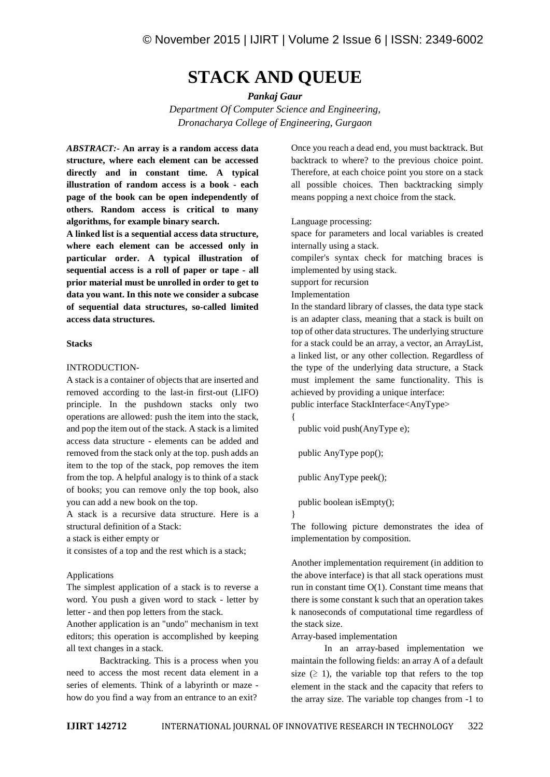# **STACK AND QUEUE**

*Pankaj Gaur*

*Department Of Computer Science and Engineering, Dronacharya College of Engineering, Gurgaon*

*ABSTRACT:-* **An array is a random access data structure, where each element can be accessed directly and in constant time. A typical illustration of random access is a book - each page of the book can be open independently of others. Random access is critical to many algorithms, for example binary search.**

**A linked list is a sequential access data structure, where each element can be accessed only in particular order. A typical illustration of sequential access is a roll of paper or tape - all prior material must be unrolled in order to get to data you want. In this note we consider a subcase of sequential data structures, so-called limited access data structures.**

### **Stacks**

#### INTRODUCTION-

A stack is a container of objects that are inserted and removed according to the last-in first-out (LIFO) principle. In the pushdown stacks only two operations are allowed: push the item into the stack, and pop the item out of the stack. A stack is a limited access data structure - elements can be added and removed from the stack only at the top. push adds an item to the top of the stack, pop removes the item from the top. A helpful analogy is to think of a stack of books; you can remove only the top book, also you can add a new book on the top.

A stack is a recursive data structure. Here is a structural definition of a Stack:

a stack is either empty or

it consistes of a top and the rest which is a stack;

#### Applications

The simplest application of a stack is to reverse a word. You push a given word to stack - letter by letter - and then pop letters from the stack.

Another application is an "undo" mechanism in text editors; this operation is accomplished by keeping all text changes in a stack.

Backtracking. This is a process when you need to access the most recent data element in a series of elements. Think of a labyrinth or maze how do you find a way from an entrance to an exit?

Once you reach a dead end, you must backtrack. But backtrack to where? to the previous choice point. Therefore, at each choice point you store on a stack all possible choices. Then backtracking simply means popping a next choice from the stack.

Language processing:

space for parameters and local variables is created internally using a stack.

compiler's syntax check for matching braces is implemented by using stack.

support for recursion

Implementation

In the standard library of classes, the data type stack is an adapter class, meaning that a stack is built on top of other data structures. The underlying structure for a stack could be an array, a vector, an ArrayList, a linked list, or any other collection. Regardless of the type of the underlying data structure, a Stack must implement the same functionality. This is achieved by providing a unique interface:

public interface StackInterface<AnyType>

{ public void push(AnyType e);

public AnyType pop();

public AnyType peek();

public boolean isEmpty();

}

The following picture demonstrates the idea of implementation by composition.

Another implementation requirement (in addition to the above interface) is that all stack operations must run in constant time  $O(1)$ . Constant time means that there is some constant k such that an operation takes k nanoseconds of computational time regardless of the stack size.

Array-based implementation

In an array-based implementation we maintain the following fields: an array A of a default size  $(≥ 1)$ , the variable top that refers to the top element in the stack and the capacity that refers to the array size. The variable top changes from -1 to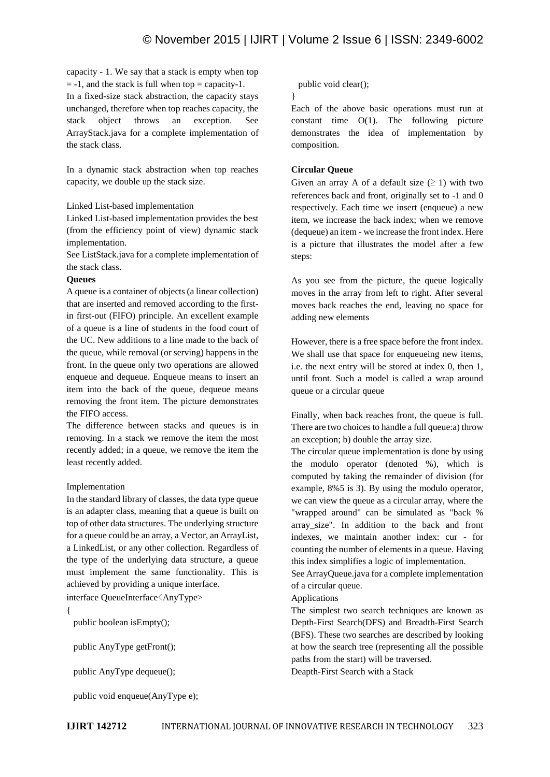capacity - 1. We say that a stack is empty when top  $= -1$ , and the stack is full when top = capacity-1. In a fixed-size stack abstraction, the capacity stays unchanged, therefore when top reaches capacity, the stack object throws an exception. See ArrayStack.java for a complete implementation of the stack class.

In a dynamic stack abstraction when top reaches capacity, we double up the stack size.

# Linked List-based implementation

Linked List-based implementation provides the best (from the efficiency point of view) dynamic stack implementation.

See ListStack.java for a complete implementation of the stack class.

# **Queues**

A queue is a container of objects (a linear collection) that are inserted and removed according to the firstin first-out (FIFO) principle. An excellent example of a queue is a line of students in the food court of the UC. New additions to a line made to the back of the queue, while removal (or serving) happens in the front. In the queue only two operations are allowed enqueue and dequeue. Enqueue means to insert an item into the back of the queue, dequeue means removing the front item. The picture demonstrates the FIFO access.

The difference between stacks and queues is in removing. In a stack we remove the item the most recently added; in a queue, we remove the item the least recently added.

# Implementation

In the standard library of classes, the data type queue is an adapter class, meaning that a queue is built on top of other data structures. The underlying structure for a queue could be an array, a Vector, an ArrayList, a LinkedList, or any other collection. Regardless of the type of the underlying data structure, a queue must implement the same functionality. This is achieved by providing a unique interface.

interface QueueInterface<AnyType>

{

public boolean isEmpty();

public AnyType getFront();

public AnyType dequeue();

public void enqueue(AnyType e);

#### public void clear();

}

Each of the above basic operations must run at constant time  $O(1)$ . The following picture demonstrates the idea of implementation by composition.

#### **Circular Queue**

Given an array A of a default size  $(≥ 1)$  with two references back and front, originally set to -1 and 0 respectively. Each time we insert (enqueue) a new item, we increase the back index; when we remove (dequeue) an item - we increase the front index. Here is a picture that illustrates the model after a few steps:

As you see from the picture, the queue logically moves in the array from left to right. After several moves back reaches the end, leaving no space for adding new elements

However, there is a free space before the front index. We shall use that space for enqueueing new items, i.e. the next entry will be stored at index 0, then 1, until front. Such a model is called a wrap around queue or a circular queue

Finally, when back reaches front, the queue is full. There are two choices to handle a full queue:a) throw an exception; b) double the array size.

The circular queue implementation is done by using the modulo operator (denoted %), which is computed by taking the remainder of division (for example, 8%5 is 3). By using the modulo operator, we can view the queue as a circular array, where the "wrapped around" can be simulated as "back % array\_size". In addition to the back and front indexes, we maintain another index: cur - for counting the number of elements in a queue. Having this index simplifies a logic of implementation.

See ArrayQueue.java for a complete implementation of a circular queue.

#### Applications

The simplest two search techniques are known as Depth-First Search(DFS) and Breadth-First Search (BFS). These two searches are described by looking at how the search tree (representing all the possible paths from the start) will be traversed.

Deapth-First Search with a Stack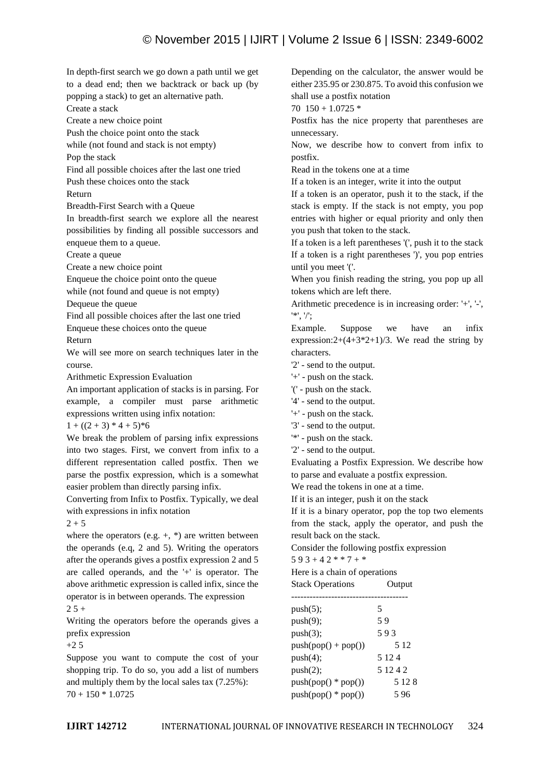In depth-first search we go down a path until we get to a dead end; then we backtrack or back up (by popping a stack) to get an alternative path.

Create a stack

Create a new choice point

Push the choice point onto the stack

while (not found and stack is not empty)

Pop the stack

Find all possible choices after the last one tried

Push these choices onto the stack

Return

Breadth-First Search with a Queue

In breadth-first search we explore all the nearest possibilities by finding all possible successors and enqueue them to a queue.

Create a queue

Create a new choice point

Enqueue the choice point onto the queue

while (not found and queue is not empty)

Dequeue the queue

Find all possible choices after the last one tried Enqueue these choices onto the queue

Return

We will see more on search techniques later in the course.

Arithmetic Expression Evaluation

An important application of stacks is in parsing. For example, a compiler must parse arithmetic expressions written using infix notation:

 $1 + ((2 + 3) * 4 + 5) * 6$ 

We break the problem of parsing infix expressions into two stages. First, we convert from infix to a different representation called postfix. Then we parse the postfix expression, which is a somewhat easier problem than directly parsing infix.

Converting from Infix to Postfix. Typically, we deal with expressions in infix notation

 $2 + 5$ 

where the operators (e.g.  $+$ ,  $*$ ) are written between the operands (e.q, 2 and 5). Writing the operators after the operands gives a postfix expression 2 and 5 are called operands, and the '+' is operator. The above arithmetic expression is called infix, since the operator is in between operands. The expression  $25 +$ 

Writing the operators before the operands gives a prefix expression

 $+2.5$ 

Suppose you want to compute the cost of your shopping trip. To do so, you add a list of numbers and multiply them by the local sales tax (7.25%):  $70 + 150 * 1.0725$ 

Depending on the calculator, the answer would be either 235.95 or 230.875. To avoid this confusion we shall use a postfix notation

70  $150 + 1.0725$  \*

Postfix has the nice property that parentheses are unnecessary.

Now, we describe how to convert from infix to postfix.

Read in the tokens one at a time

If a token is an integer, write it into the output

If a token is an operator, push it to the stack, if the stack is empty. If the stack is not empty, you pop entries with higher or equal priority and only then you push that token to the stack.

If a token is a left parentheses '(', push it to the stack If a token is a right parentheses ')', you pop entries until you meet '('.

When you finish reading the string, you pop up all tokens which are left there.

Arithmetic precedence is in increasing order: '+', '-', '\*', '/';

Example. Suppose we have an infix expression: $2+(4+3*2+1)/3$ . We read the string by characters.

'2' - send to the output.

'+' - push on the stack.

'(' - push on the stack.

'4' - send to the output.

- '+' push on the stack.
- '3' send to the output.
- '\*' push on the stack.
- '2' send to the output.

Evaluating a Postfix Expression. We describe how to parse and evaluate a postfix expression.

We read the tokens in one at a time.

If it is an integer, push it on the stack

If it is a binary operator, pop the top two elements from the stack, apply the operator, and push the result back on the stack.

Consider the following postfix expression

 $593 + 42 * * 7 + *$ 

Here is a chain of operations

| <b>Stack Operations</b><br>Output |  |
|-----------------------------------|--|
|-----------------------------------|--|

| push(5);              | 5         |  |
|-----------------------|-----------|--|
| push(9);              | 59        |  |
| push(3);              | 593       |  |
| $push(pop() + pop())$ | 5 1 2     |  |
| push(4);              | 5 1 2 4   |  |
| push(2);              | 5 1 2 4 2 |  |
| $push(pop() * pop())$ | 5 1 2 8   |  |
| $push(pop() * pop())$ | 596       |  |
|                       |           |  |